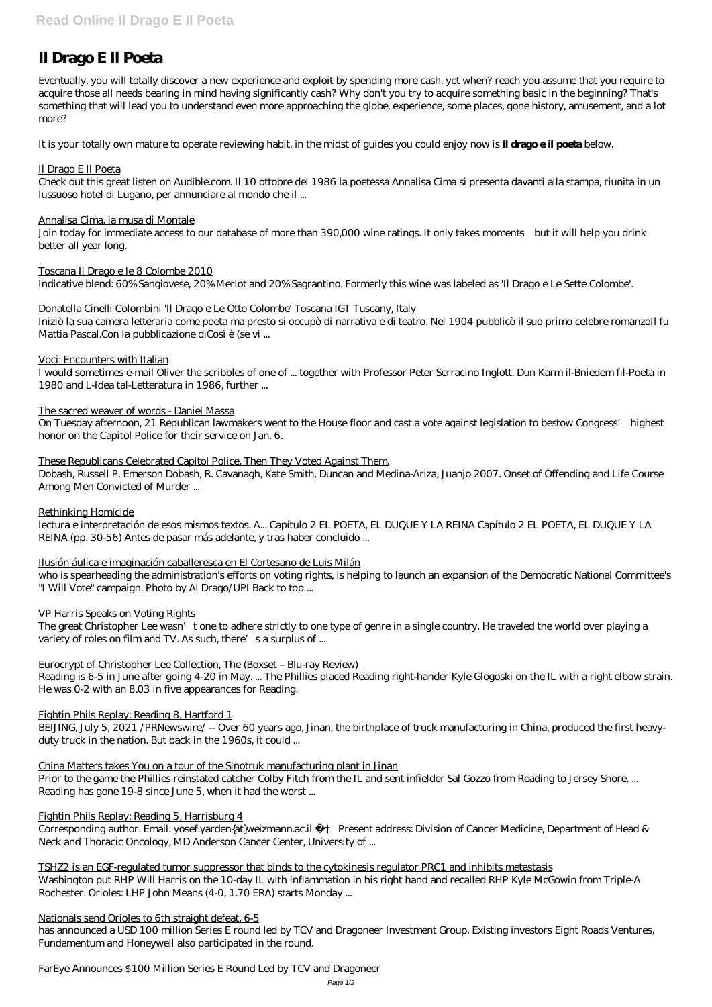Eventually, you will totally discover a new experience and exploit by spending more cash. yet when? reach you assume that you require to acquire those all needs bearing in mind having significantly cash? Why don't you try to acquire something basic in the beginning? That's something that will lead you to understand even more approaching the globe, experience, some places, gone history, amusement, and a lot more?

# **Il Drago E Il Poeta**

It is your totally own mature to operate reviewing habit. in the midst of guides you could enjoy now is **il drago e il poeta** below.

## Il Drago E Il Poeta

Check out this great listen on Audible.com. Il 10 ottobre del 1986 la poetessa Annalisa Cima si presenta davanti alla stampa, riunita in un lussuoso hotel di Lugano, per annunciare al mondo che il ...

### Annalisa Cima, la musa di Montale

Join today for immediate access to our database of more than 390,000 wine ratings. It only takes moments—but it will help you drink better all year long.

Toscana Il Drago e le 8 Colombe 2010

Indicative blend: 60% Sangiovese, 20% Merlot and 20% Sagrantino. Formerly this wine was labeled as 'Il Drago e Le Sette Colombe'.

### Donatella Cinelli Colombini 'Il Drago e Le Otto Colombe' Toscana IGT Tuscany, Italy

Iniziò la sua camera letteraria come poeta ma presto si occupò di narrativa e di teatro. Nel 1904 pubblicò il suo primo celebre romanzoIl fu Mattia Pascal.Con la pubblicazione diCosì è (se vi ...

### Voci: Encounters with Italian

I would sometimes e-mail Oliver the scribbles of one of ... together with Professor Peter Serracino Inglott. Dun Karm il-Bniedem fil-Poeta in 1980 and L-Idea tal-Letteratura in 1986, further ...

The sacred weaver of words - Daniel Massa

On Tuesday afternoon, 21 Republican lawmakers went to the House floor and cast a vote against legislation to bestow Congress' highest honor on the Capitol Police for their service on Jan. 6.

### These Republicans Celebrated Capitol Police. Then They Voted Against Them.

Corresponding author. Email: yosef.yarden{at}weizmann.ac.il + Present address: Division of Cancer Medicine, Department of Head & Neck and Thoracic Oncology, MD Anderson Cancer Center, University of ...

Dobash, Russell P. Emerson Dobash, R. Cavanagh, Kate Smith, Duncan and Medina-Ariza, Juanjo 2007. Onset of Offending and Life Course Among Men Convicted of Murder ...

### Rethinking Homicide

lectura e interpretación de esos mismos textos. A... Capítulo 2 EL POETA, EL DUQUE Y LA REINA Capítulo 2 EL POETA, EL DUQUE Y LA REINA (pp. 30-56) Antes de pasar más adelante, y tras haber concluido ...

### Ilusión áulica e imaginación caballeresca en El Cortesano de Luis Milán

who is spearheading the administration's efforts on voting rights, is helping to launch an expansion of the Democratic National Committee's "I Will Vote" campaign. Photo by Al Drago/UPI Back to top ...

### VP Harris Speaks on Voting Rights

The great Christopher Lee wasn't one to adhere strictly to one type of genre in a single country. He traveled the world over playing a variety of roles on film and TV. As such, there's a surplus of ...

### Eurocrypt of Christopher Lee Collection, The (Boxset – Blu-ray Review)

Reading is 6-5 in June after going 4-20 in May. ... The Phillies placed Reading right-hander Kyle Glogoski on the IL with a right elbow strain. He was 0-2 with an 8.03 in five appearances for Reading.

### Fightin Phils Replay: Reading 8, Hartford 1

BEIJING, July 5, 2021 /PRNewswire/ -- Over 60 years ago, Jinan, the birthplace of truck manufacturing in China, produced the first heavyduty truck in the nation. But back in the 1960s, it could ...

China Matters takes You on a tour of the Sinotruk manufacturing plant in Jinan

Prior to the game the Phillies reinstated catcher Colby Fitch from the IL and sent infielder Sal Gozzo from Reading to Jersey Shore. ... Reading has gone 19-8 since June 5, when it had the worst ...

#### Fightin Phils Replay: Reading 5, Harrisburg 4

TSHZ2 is an EGF-regulated tumor suppressor that binds to the cytokinesis regulator PRC1 and inhibits metastasis Washington put RHP Will Harris on the 10-day IL with inflammation in his right hand and recalled RHP Kyle McGowin from Triple-A Rochester. Orioles: LHP John Means (4-0, 1.70 ERA) starts Monday ...

#### Nationals send Orioles to 6th straight defeat, 6-5

has announced a USD 100 million Series E round led by TCV and Dragoneer Investment Group. Existing investors Eight Roads Ventures, Fundamentum and Honeywell also participated in the round.

#### FarEye Announces \$100 Million Series E Round Led by TCV and Dragoneer